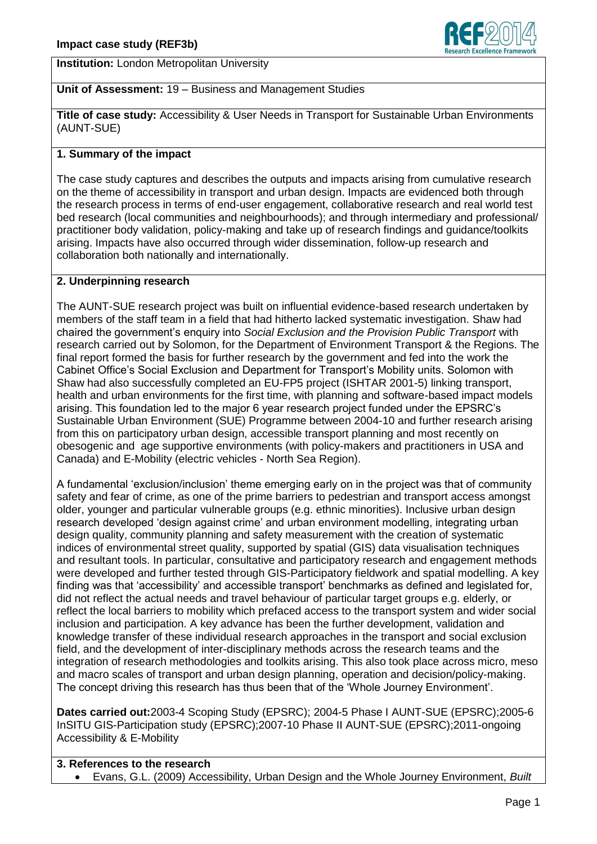



**Institution:** London Metropolitan University

## **Unit of Assessment:** 19 – Business and Management Studies

**Title of case study:** Accessibility & User Needs in Transport for Sustainable Urban Environments (AUNT-SUE)

# **1. Summary of the impact**

The case study captures and describes the outputs and impacts arising from cumulative research on the theme of accessibility in transport and urban design. Impacts are evidenced both through the research process in terms of end-user engagement, collaborative research and real world test bed research (local communities and neighbourhoods); and through intermediary and professional/ practitioner body validation, policy-making and take up of research findings and guidance/toolkits arising. Impacts have also occurred through wider dissemination, follow-up research and collaboration both nationally and internationally.

### **2. Underpinning research**

The AUNT-SUE research project was built on influential evidence-based research undertaken by members of the staff team in a field that had hitherto lacked systematic investigation. Shaw had chaired the government's enquiry into *Social Exclusion and the Provision Public Transport* with research carried out by Solomon, for the Department of Environment Transport & the Regions. The final report formed the basis for further research by the government and fed into the work the Cabinet Office's Social Exclusion and Department for Transport's Mobility units. Solomon with Shaw had also successfully completed an EU-FP5 project (ISHTAR 2001-5) linking transport, health and urban environments for the first time, with planning and software-based impact models arising. This foundation led to the major 6 year research project funded under the EPSRC's Sustainable Urban Environment (SUE) Programme between 2004-10 and further research arising from this on participatory urban design, accessible transport planning and most recently on obesogenic and age supportive environments (with policy-makers and practitioners in USA and Canada) and E-Mobility (electric vehicles - North Sea Region).

A fundamental 'exclusion/inclusion' theme emerging early on in the project was that of community safety and fear of crime, as one of the prime barriers to pedestrian and transport access amongst older, younger and particular vulnerable groups (e.g. ethnic minorities). Inclusive urban design research developed 'design against crime' and urban environment modelling, integrating urban design quality, community planning and safety measurement with the creation of systematic indices of environmental street quality, supported by spatial (GIS) data visualisation techniques and resultant tools. In particular, consultative and participatory research and engagement methods were developed and further tested through GIS-Participatory fieldwork and spatial modelling. A key finding was that 'accessibility' and accessible transport' benchmarks as defined and legislated for, did not reflect the actual needs and travel behaviour of particular target groups e.g. elderly, or reflect the local barriers to mobility which prefaced access to the transport system and wider social inclusion and participation. A key advance has been the further development, validation and knowledge transfer of these individual research approaches in the transport and social exclusion field, and the development of inter-disciplinary methods across the research teams and the integration of research methodologies and toolkits arising. This also took place across micro, meso and macro scales of transport and urban design planning, operation and decision/policy-making. The concept driving this research has thus been that of the 'Whole Journey Environment'.

**Dates carried out:**2003-4 Scoping Study (EPSRC); 2004-5 Phase I AUNT-SUE (EPSRC);2005-6 InSITU GIS-Participation study (EPSRC);2007-10 Phase II AUNT-SUE (EPSRC);2011-ongoing Accessibility & E-Mobility

# **3. References to the research**  Evans, G.L. (2009) Accessibility, Urban Design and the Whole Journey Environment, *Built*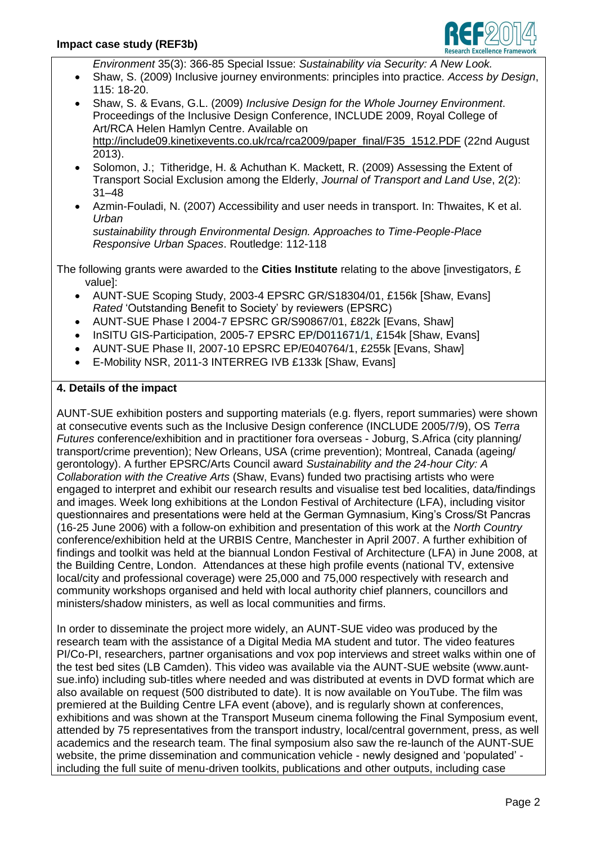

*Environment* 35(3): 366-85 Special Issue: *Sustainability via Security: A New Look.*

- Shaw, S. (2009) Inclusive journey environments: principles into practice. *Access by Design*, 115: 18-20.
- Shaw, S. & Evans, G.L. (2009) *Inclusive Design for the Whole Journey Environment*. Proceedings of the Inclusive Design Conference, INCLUDE 2009, Royal College of Art/RCA Helen Hamlyn Centre. Available on http://include09.kinetixevents.co.uk/rca/rca2009/paper\_final/F35\_1512.PDF (22nd August

2013). Solomon, J.; Titheridge, H. & Achuthan K. Mackett, R. (2009) Assessing the Extent of

- Transport Social Exclusion among the Elderly, *Journal of Transport and Land Use*, 2(2): 31–48
- Azmin-Fouladi, N. (2007) Accessibility and user needs in transport. In: Thwaites, K et al. *Urban*

*sustainability through Environmental Design. Approaches to Time-People-Place Responsive Urban Spaces*. Routledge: 112-118

The following grants were awarded to the **Cities Institute** relating to the above linvestigators, £ value]:

- AUNT-SUE Scoping Study, 2003-4 EPSRC GR/S18304/01, £156k [Shaw, Evans] *Rated* 'Outstanding Benefit to Society' by reviewers (EPSRC)
- AUNT-SUE Phase I 2004-7 EPSRC GR/S90867/01, £822k [Evans, Shaw]
- InSITU GIS-Participation, 2005-7 EPSRC EP/D011671/1, £154k [Shaw, Evans]
- AUNT-SUE Phase II, 2007-10 EPSRC EP/E040764/1, £255k [Evans, Shaw]
- E-Mobility NSR, 2011-3 INTERREG IVB £133k [Shaw, Evans]

#### **4. Details of the impact**

AUNT-SUE exhibition posters and supporting materials (e.g. flyers, report summaries) were shown at consecutive events such as the Inclusive Design conference (INCLUDE 2005/7/9), OS *Terra Futures* conference/exhibition and in practitioner fora overseas - Joburg, S.Africa (city planning/ transport/crime prevention); New Orleans, USA (crime prevention); Montreal, Canada (ageing/ gerontology). A further EPSRC/Arts Council award *Sustainability and the 24-hour City: A Collaboration with the Creative Arts* (Shaw, Evans) funded two practising artists who were engaged to interpret and exhibit our research results and visualise test bed localities, data/findings and images. Week long exhibitions at the London Festival of Architecture (LFA), including visitor questionnaires and presentations were held at the German Gymnasium, King's Cross/St Pancras (16-25 June 2006) with a follow-on exhibition and presentation of this work at the *North Country*  conference/exhibition held at the URBIS Centre, Manchester in April 2007. A further exhibition of findings and toolkit was held at the biannual London Festival of Architecture (LFA) in June 2008, at the Building Centre, London. Attendances at these high profile events (national TV, extensive local/city and professional coverage) were 25,000 and 75,000 respectively with research and community workshops organised and held with local authority chief planners, councillors and ministers/shadow ministers, as well as local communities and firms.

In order to disseminate the project more widely, an AUNT-SUE video was produced by the research team with the assistance of a Digital Media MA student and tutor. The video features PI/Co-PI, researchers, partner organisations and vox pop interviews and street walks within one of the test bed sites (LB Camden). This video was available via the AUNT-SUE website (www.auntsue.info) including sub-titles where needed and was distributed at events in DVD format which are also available on request (500 distributed to date). It is now available on YouTube. The film was premiered at the Building Centre LFA event (above), and is regularly shown at conferences, exhibitions and was shown at the Transport Museum cinema following the Final Symposium event, attended by 75 representatives from the transport industry, local/central government, press, as well academics and the research team. The final symposium also saw the re-launch of the AUNT-SUE website, the prime dissemination and communication vehicle - newly designed and 'populated' including the full suite of menu-driven toolkits, publications and other outputs, including case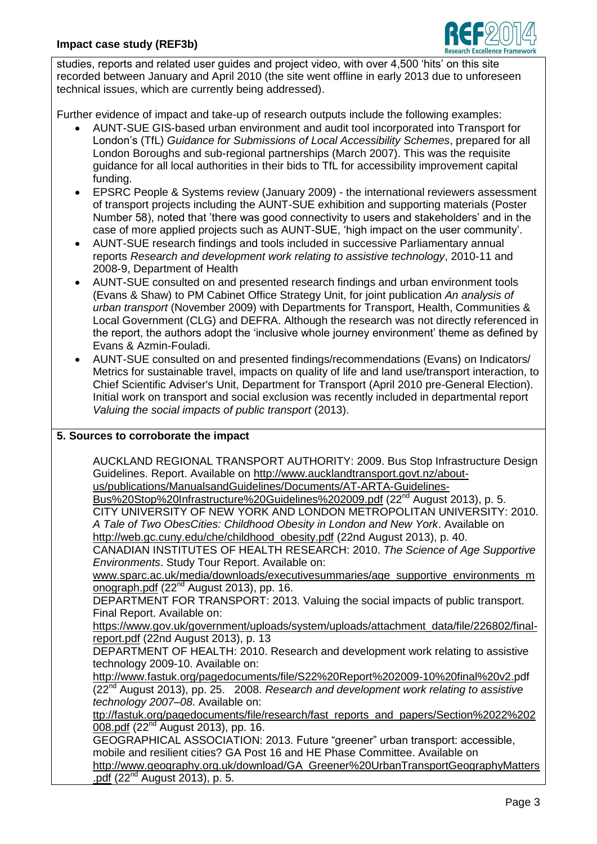

studies, reports and related user guides and project video, with over 4,500 'hits' on this site recorded between January and April 2010 (the site went offline in early 2013 due to unforeseen technical issues, which are currently being addressed).

Further evidence of impact and take-up of research outputs include the following examples:

- AUNT-SUE GIS-based urban environment and audit tool incorporated into Transport for London's (TfL) *Guidance for Submissions of Local Accessibility Schemes*, prepared for all London Boroughs and sub-regional partnerships (March 2007). This was the requisite guidance for all local authorities in their bids to TfL for accessibility improvement capital funding.
- EPSRC People & Systems review (January 2009) the international reviewers assessment of transport projects including the AUNT-SUE exhibition and supporting materials (Poster Number 58), noted that 'there was good connectivity to users and stakeholders' and in the case of more applied projects such as AUNT-SUE, 'high impact on the user community'.
- AUNT-SUE research findings and tools included in successive Parliamentary annual reports *Research and development work relating to assistive technology*, 2010-11 and 2008-9, Department of Health
- AUNT-SUE consulted on and presented research findings and urban environment tools (Evans & Shaw) to PM Cabinet Office Strategy Unit, for joint publication *An analysis of urban transport* (November 2009) with Departments for Transport, Health, Communities & Local Government (CLG) and DEFRA. Although the research was not directly referenced in the report, the authors adopt the 'inclusive whole journey environment' theme as defined by Evans & Azmin-Fouladi.
- AUNT-SUE consulted on and presented findings/recommendations (Evans) on Indicators/ Metrics for sustainable travel, impacts on quality of life and land use/transport interaction, to Chief Scientific Adviser's Unit, Department for Transport (April 2010 pre-General Election). Initial work on transport and social exclusion was recently included in departmental report *Valuing the social impacts of public transport* (2013).

#### **5. Sources to corroborate the impact**

AUCKLAND REGIONAL TRANSPORT AUTHORITY: 2009. Bus Stop Infrastructure Design Guidelines. Report. Available on http://www.aucklandtransport.govt.nz/aboutus/publications/ManualsandGuidelines/Documents/AT-ARTA-Guidelines-

Bus%20Stop%20Infrastructure%20Guidelines%202009.pdf (22<sup>nd</sup> August 2013), p. 5.

CITY UNIVERSITY OF NEW YORK AND LONDON METROPOLITAN UNIVERSITY: 2010. *A Tale of Two ObesCities: Childhood Obesity in London and New York*. Available on [http://web.gc.cuny.edu/che/childhood\\_obesity.pdf](http://web.gc.cuny.edu/che/childhood_obesity.pdf) (22nd August 2013), p. 40.

CANADIAN INSTITUTES OF HEALTH RESEARCH: 2010. *The Science of Age Supportive Environments*. Study Tour Report. Available on:

[www.sparc.ac.uk/media/downloads/executivesummaries/age\\_supportive\\_environments\\_m](http://www.sparc.ac.uk/media/downloads/executivesummaries/age_supportive_environments_monograph.pdf) [onograph.pdf](http://www.sparc.ac.uk/media/downloads/executivesummaries/age_supportive_environments_monograph.pdf) (22<sup>nd</sup> August 2013), pp. 16.

DEPARTMENT FOR TRANSPORT: 2013. Valuing the social impacts of public transport. Final Report. Available on:

https://www.gov.uk/government/uploads/system/uploads/attachment\_data/file/226802/finalreport.pdf (22nd August 2013), p. 13

DEPARTMENT OF HEALTH: 2010. Research and development work relating to assistive technology 2009-10. Available on:

http://www.fastuk.org/pagedocuments/file/S22%20Report%202009-10%20final%20v2.pdf (22nd August 2013), pp. 25. 2008. *Research and development work relating to assistive technology 2007–08*. Available on:

ttp://fastuk.org/pagedocuments/file/research/fast\_reports\_and\_papers/Section%2022%202 008.pdf (22<sup>nd</sup> August 2013), pp. 16.

GEOGRAPHICAL ASSOCIATION: 2013. Future "greener" urban transport: accessible, mobile and resilient cities? GA Post 16 and HE Phase Committee. Available on http://www.geography.org.uk/download/GA\_Greener%20UrbanTransportGeographyMatters .pdf  $(22^{nd}$  August 2013), p. 5.